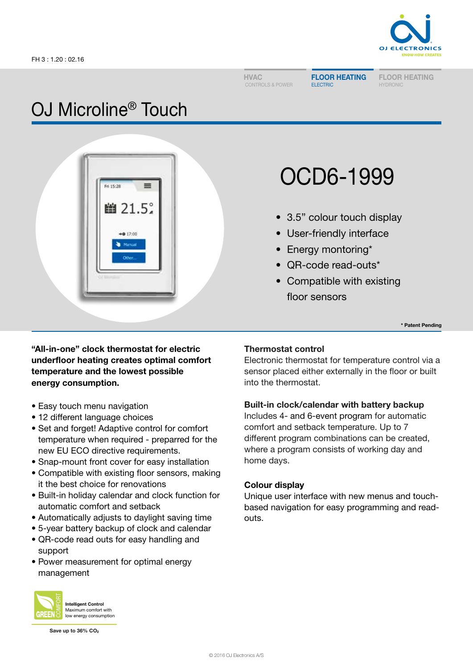

HVAC CONTROLS & POWER FLOOR HEATING ELECTRIC

FLOOR HEATING HYDRONIC

## OJ Microline® Touch



# OCD6-1999

- 3.5" colour touch display
- User-friendly interface
- Energy montoring\*
- QR-code read-outs\*
- Compatible with existing floor sensors

\* Patent Pending

"All-in-one" clock thermostat for electric underfloor heating creates optimal comfort temperature and the lowest possible energy consumption.

- Easy touch menu navigation
- 12 different language choices
- Set and forget! Adaptive control for comfort temperature when required - preparred for the new EU ECO directive requirements.
- Snap-mount front cover for easy installation
- Compatible with existing floor sensors, making it the best choice for renovations
- Built-in holiday calendar and clock function for automatic comfort and setback
- Automatically adjusts to daylight saving time
- 5-year battery backup of clock and calendar
- QR-code read outs for easy handling and support
- Power measurement for optimal energy management

#### Intelligent Control Maximum comfort with **GREE** low energy consumption

Save up to 36% CO<sub>2</sub>

## Thermostat control

Electronic thermostat for temperature control via a sensor placed either externally in the floor or built into the thermostat.

## Built-in clock/calendar with battery backup

Includes 4- and 6-event program for automatic comfort and setback temperature. Up to 7 different program combinations can be created, where a program consists of working day and home days.

## Colour display

Unique user interface with new menus and touchbased navigation for easy programming and readouts.